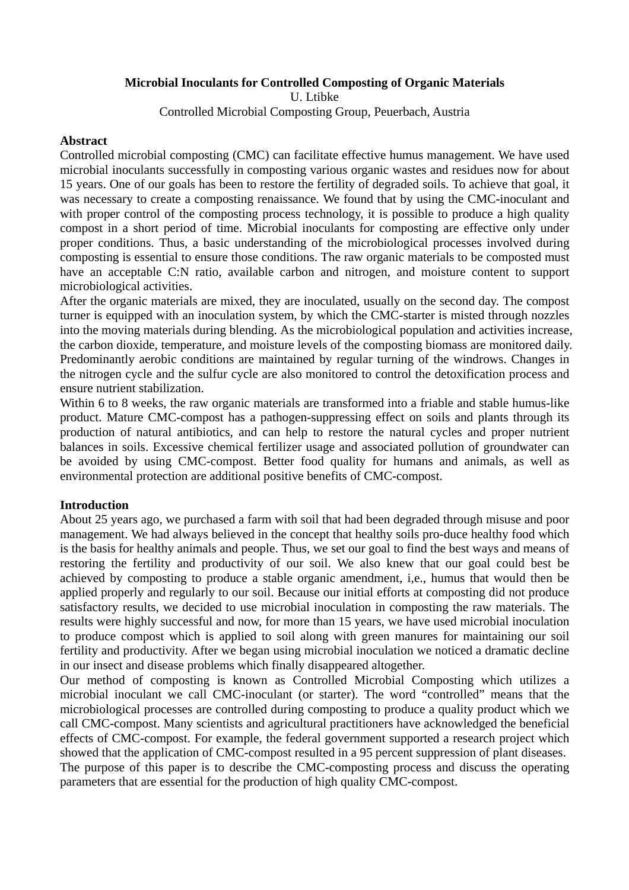#### **Microbial Inoculants for Controlled Composting of Organic Materials**

U. Ltibke

Controlled Microbial Composting Group, Peuerbach, Austria

#### **Abstract**

Controlled microbial composting (CMC) can facilitate effective humus management. We have used microbial inoculants successfully in composting various organic wastes and residues now for about 15 years. One of our goals has been to restore the fertility of degraded soils. To achieve that goal, it was necessary to create a composting renaissance. We found that by using the CMC-inoculant and with proper control of the composting process technology, it is possible to produce a high quality compost in a short period of time. Microbial inoculants for composting are effective only under proper conditions. Thus, a basic understanding of the microbiological processes involved during composting is essential to ensure those conditions. The raw organic materials to be composted must have an acceptable C:N ratio, available carbon and nitrogen, and moisture content to support microbiological activities.

After the organic materials are mixed, they are inoculated, usually on the second day. The compost turner is equipped with an inoculation system, by which the CMC-starter is misted through nozzles into the moving materials during blending. As the microbiological population and activities increase, the carbon dioxide, temperature, and moisture levels of the composting biomass are monitored daily. Predominantly aerobic conditions are maintained by regular turning of the windrows. Changes in the nitrogen cycle and the sulfur cycle are also monitored to control the detoxification process and ensure nutrient stabilization.

Within 6 to 8 weeks, the raw organic materials are transformed into a friable and stable humus-like product. Mature CMC-compost has a pathogen-suppressing effect on soils and plants through its production of natural antibiotics, and can help to restore the natural cycles and proper nutrient balances in soils. Excessive chemical fertilizer usage and associated pollution of groundwater can be avoided by using CMC-compost. Better food quality for humans and animals, as well as environmental protection are additional positive benefits of CMC-compost.

## **Introduction**

About 25 years ago, we purchased a farm with soil that had been degraded through misuse and poor management. We had always believed in the concept that healthy soils pro-duce healthy food which is the basis for healthy animals and people. Thus, we set our goal to find the best ways and means of restoring the fertility and productivity of our soil. We also knew that our goal could best be achieved by composting to produce a stable organic amendment, i,e., humus that would then be applied properly and regularly to our soil. Because our initial efforts at composting did not produce satisfactory results, we decided to use microbial inoculation in composting the raw materials. The results were highly successful and now, for more than 15 years, we have used microbial inoculation to produce compost which is applied to soil along with green manures for maintaining our soil fertility and productivity. After we began using microbial inoculation we noticed a dramatic decline in our insect and disease problems which finally disappeared altogether.

Our method of composting is known as Controlled Microbial Composting which utilizes a microbial inoculant we call CMC-inoculant (or starter). The word "controlled" means that the microbiological processes are controlled during composting to produce a quality product which we call CMC-compost. Many scientists and agricultural practitioners have acknowledged the beneficial effects of CMC-compost. For example, the federal government supported a research project which showed that the application of CMC-compost resulted in a 95 percent suppression of plant diseases. The purpose of this paper is to describe the CMC-composting process and discuss the operating

parameters that are essential for the production of high quality CMC-compost.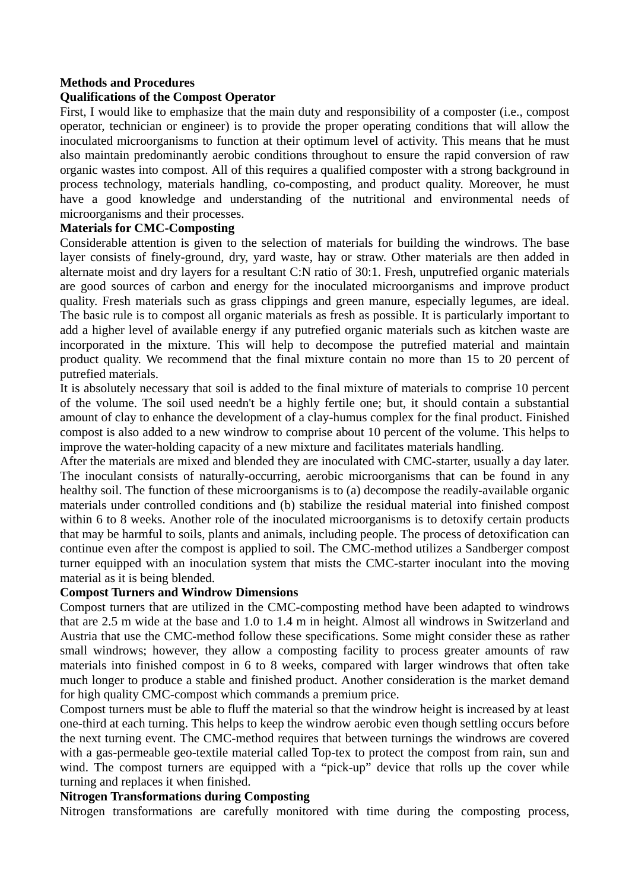# **Methods and Procedures**

# **Qualifications of the Compost Operator**

First, I would like to emphasize that the main duty and responsibility of a composter (i.e., compost operator, technician or engineer) is to provide the proper operating conditions that will allow the inoculated microorganisms to function at their optimum level of activity. This means that he must also maintain predominantly aerobic conditions throughout to ensure the rapid conversion of raw organic wastes into compost. All of this requires a qualified composter with a strong background in process technology, materials handling, co-composting, and product quality. Moreover, he must have a good knowledge and understanding of the nutritional and environmental needs of microorganisms and their processes.

# **Materials for CMC-Composting**

Considerable attention is given to the selection of materials for building the windrows. The base layer consists of finely-ground, dry, yard waste, hay or straw. Other materials are then added in alternate moist and dry layers for a resultant C:N ratio of 30:1. Fresh, unputrefied organic materials are good sources of carbon and energy for the inoculated microorganisms and improve product quality. Fresh materials such as grass clippings and green manure, especially legumes, are ideal. The basic rule is to compost all organic materials as fresh as possible. It is particularly important to add a higher level of available energy if any putrefied organic materials such as kitchen waste are incorporated in the mixture. This will help to decompose the putrefied material and maintain product quality. We recommend that the final mixture contain no more than 15 to 20 percent of putrefied materials.

It is absolutely necessary that soil is added to the final mixture of materials to comprise 10 percent of the volume. The soil used needn't be a highly fertile one; but, it should contain a substantial amount of clay to enhance the development of a clay-humus complex for the final product. Finished compost is also added to a new windrow to comprise about 10 percent of the volume. This helps to improve the water-holding capacity of a new mixture and facilitates materials handling.

After the materials are mixed and blended they are inoculated with CMC-starter, usually a day later. The inoculant consists of naturally-occurring, aerobic microorganisms that can be found in any healthy soil. The function of these microorganisms is to (a) decompose the readily-available organic materials under controlled conditions and (b) stabilize the residual material into finished compost within 6 to 8 weeks. Another role of the inoculated microorganisms is to detoxify certain products that may be harmful to soils, plants and animals, including people. The process of detoxification can continue even after the compost is applied to soil. The CMC-method utilizes a Sandberger compost turner equipped with an inoculation system that mists the CMC-starter inoculant into the moving material as it is being blended.

## **Compost Turners and Windrow Dimensions**

Compost turners that are utilized in the CMC-composting method have been adapted to windrows that are 2.5 m wide at the base and 1.0 to 1.4 m in height. Almost all windrows in Switzerland and Austria that use the CMC-method follow these specifications. Some might consider these as rather small windrows; however, they allow a composting facility to process greater amounts of raw materials into finished compost in 6 to 8 weeks, compared with larger windrows that often take much longer to produce a stable and finished product. Another consideration is the market demand for high quality CMC-compost which commands a premium price.

Compost turners must be able to fluff the material so that the windrow height is increased by at least one-third at each turning. This helps to keep the windrow aerobic even though settling occurs before the next turning event. The CMC-method requires that between turnings the windrows are covered with a gas-permeable geo-textile material called Top-tex to protect the compost from rain, sun and wind. The compost turners are equipped with a "pick-up" device that rolls up the cover while turning and replaces it when finished.

## **Nitrogen Transformations during Composting**

Nitrogen transformations are carefully monitored with time during the composting process,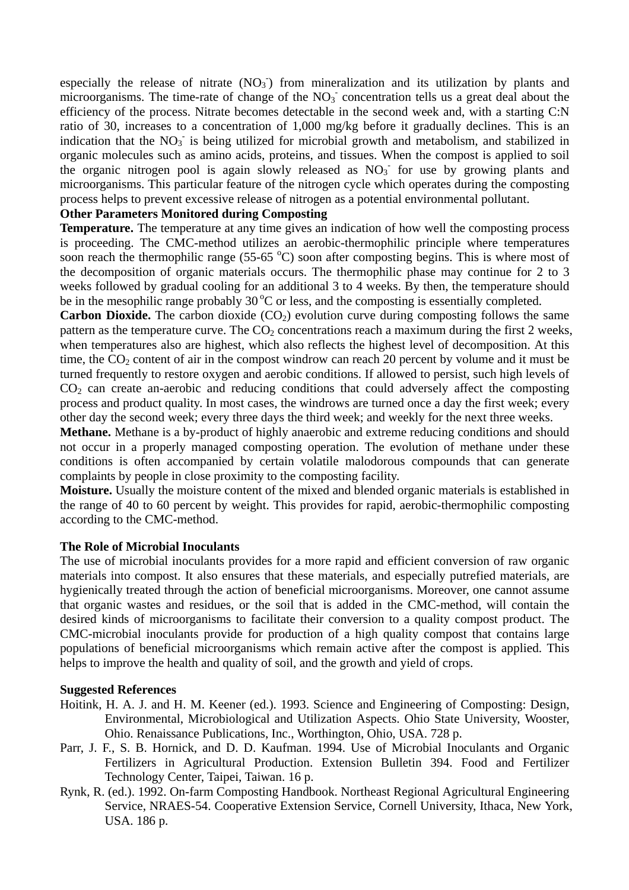especially the release of nitrate  $(NO<sub>3</sub>)$  from mineralization and its utilization by plants and microorganisms. The time-rate of change of the  $NO<sub>3</sub>$  concentration tells us a great deal about the efficiency of the process. Nitrate becomes detectable in the second week and, with a starting C:N ratio of 30, increases to a concentration of 1,000 mg/kg before it gradually declines. This is an indication that the  $NO<sub>3</sub>$  is being utilized for microbial growth and metabolism, and stabilized in organic molecules such as amino acids, proteins, and tissues. When the compost is applied to soil the organic nitrogen pool is again slowly released as  $NO<sub>3</sub>$  for use by growing plants and microorganisms. This particular feature of the nitrogen cycle which operates during the composting process helps to prevent excessive release of nitrogen as a potential environmental pollutant.

## **Other Parameters Monitored during Composting**

**Temperature.** The temperature at any time gives an indication of how well the composting process is proceeding. The CMC-method utilizes an aerobic-thermophilic principle where temperatures soon reach the thermophilic range  $(55-65 \degree C)$  soon after composting begins. This is where most of the decomposition of organic materials occurs. The thermophilic phase may continue for 2 to 3 weeks followed by gradual cooling for an additional 3 to 4 weeks. By then, the temperature should be in the mesophilic range probably  $30^{\circ}$ C or less, and the composting is essentially completed.

**Carbon Dioxide.** The carbon dioxide  $(CO_2)$  evolution curve during composting follows the same pattern as the temperature curve. The  $CO<sub>2</sub>$  concentrations reach a maximum during the first 2 weeks, when temperatures also are highest, which also reflects the highest level of decomposition. At this time, the  $CO<sub>2</sub>$  content of air in the compost windrow can reach 20 percent by volume and it must be turned frequently to restore oxygen and aerobic conditions. If allowed to persist, such high levels of  $CO<sub>2</sub>$  can create an-aerobic and reducing conditions that could adversely affect the composting process and product quality. In most cases, the windrows are turned once a day the first week; every other day the second week; every three days the third week; and weekly for the next three weeks.

**Methane.** Methane is a by-product of highly anaerobic and extreme reducing conditions and should not occur in a properly managed composting operation. The evolution of methane under these conditions is often accompanied by certain volatile malodorous compounds that can generate complaints by people in close proximity to the composting facility.

**Moisture.** Usually the moisture content of the mixed and blended organic materials is established in the range of 40 to 60 percent by weight. This provides for rapid, aerobic-thermophilic composting according to the CMC-method.

## **The Role of Microbial Inoculants**

The use of microbial inoculants provides for a more rapid and efficient conversion of raw organic materials into compost. It also ensures that these materials, and especially putrefied materials, are hygienically treated through the action of beneficial microorganisms. Moreover, one cannot assume that organic wastes and residues, or the soil that is added in the CMC-method, will contain the desired kinds of microorganisms to facilitate their conversion to a quality compost product. The CMC-microbial inoculants provide for production of a high quality compost that contains large populations of beneficial microorganisms which remain active after the compost is applied. This helps to improve the health and quality of soil, and the growth and yield of crops.

#### **Suggested References**

- Hoitink, H. A. J. and H. M. Keener (ed.). 1993. Science and Engineering of Composting: Design, Environmental, Microbiological and Utilization Aspects. Ohio State University, Wooster, Ohio. Renaissance Publications, Inc., Worthington, Ohio, USA. 728 p.
- Parr, J. F., S. B. Hornick, and D. D. Kaufman. 1994. Use of Microbial Inoculants and Organic Fertilizers in Agricultural Production. Extension Bulletin 394. Food and Fertilizer Technology Center, Taipei, Taiwan. 16 p.
- Rynk, R. (ed.). 1992. On-farm Composting Handbook. Northeast Regional Agricultural Engineering Service, NRAES-54. Cooperative Extension Service, Cornell University, Ithaca, New York, USA. 186 p.